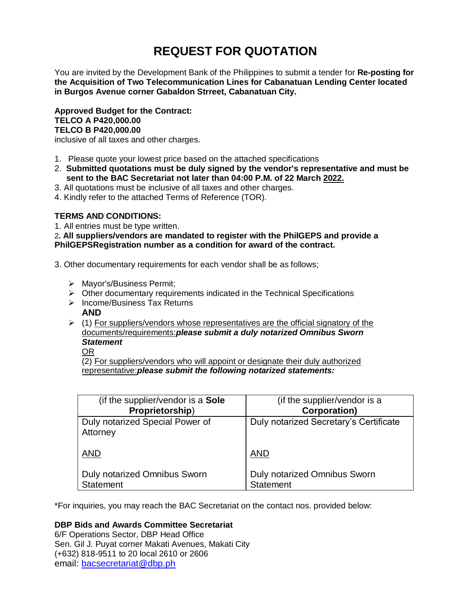# **REQUEST FOR QUOTATION**

You are invited by the Development Bank of the Philippines to submit a tender for **Re-posting for the Acquisition of Two Telecommunication Lines for Cabanatuan Lending Center located in Burgos Avenue corner Gabaldon Strreet, Cabanatuan City.**

**Approved Budget for the Contract: TELCO A P420,000.00 TELCO B P420,000.00**

inclusive of all taxes and other charges.

- 1. Please quote your lowest price based on the attached specifications
- 2. **Submitted quotations must be duly signed by the vendor's representative and must be sent to the BAC Secretariat not later than 04:00 P.M. of 22 March 2022.**
- 3. All quotations must be inclusive of all taxes and other charges.
- 4. Kindly refer to the attached Terms of Reference (TOR).

# **TERMS AND CONDITIONS:**

1. All entries must be type written.

2**. All suppliers/vendors are mandated to register with the PhilGEPS and provide a PhilGEPSRegistration number as a condition for award of the contract.**

- 3. Other documentary requirements for each vendor shall be as follows;
	- > Mayor's/Business Permit;
	- $\triangleright$  Other documentary requirements indicated in the Technical Specifications
	- $\triangleright$  Income/Business Tax Returns **AND**
	- $(1)$  For suppliers/vendors whose representatives are the official signatory of the documents/requirements:*please submit a duly notarized Omnibus Sworn Statement*

OR

(2) For suppliers/vendors who will appoint or designate their duly authorized representative:*please submit the following notarized statements:*

| (if the supplier/vendor is a Sole           | (if the supplier/vendor is a           |
|---------------------------------------------|----------------------------------------|
| Proprietorship)                             | <b>Corporation)</b>                    |
| Duly notarized Special Power of<br>Attorney | Duly notarized Secretary's Certificate |
| <b>AND</b>                                  | <b>AND</b>                             |
| <b>Duly notarized Omnibus Sworn</b>         | <b>Duly notarized Omnibus Sworn</b>    |
| <b>Statement</b>                            | <b>Statement</b>                       |

\*For inquiries, you may reach the BAC Secretariat on the contact nos. provided below:

## **DBP Bids and Awards Committee Secretariat**

6/F Operations Sector, DBP Head Office Sen. Gil J. Puyat corner Makati Avenues, Makati City (+632) 818-9511 to 20 local 2610 or 2606 email: [bacsecretariat@dbp.ph](mailto:bacsecretariat@dbp.ph)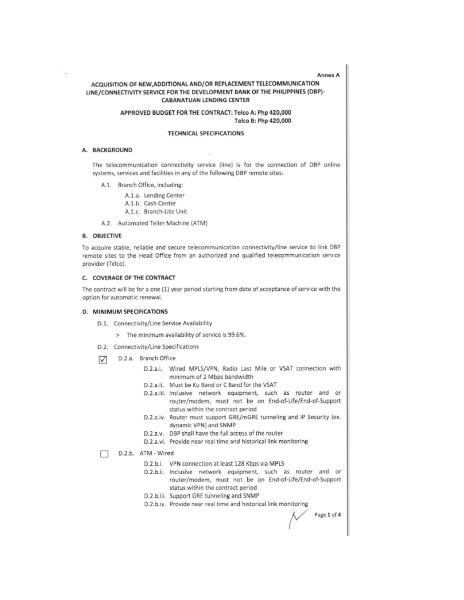Annex A

## ACQUISITION OF NEW, ADDITIONAL AND/OR REPLACEMENT TELECOMMUNICATION LINE/CONNECTIVITY SERVICE FOR THE DEVELOPMENT BANK OF THE PHILIPPINES (DBP)-**CABANATUAN LENDING CENTER**

## APPROVED BUDGET FOR THE CONTRACT: Telco A: Php 420,000 Telco B: Php 420,000

#### **TECHNICAL SPECIFICATIONS**

#### A. BACKGROUND

The telecommunication connectivity service (line) is for the connection of DBP online systems, services and facilities in any of the following DBP remote sites:

A.1. Branch Office, including:

A.1.a. Lending Center A.1.b. Cash Center

- A.1.c. Branch-Lite Unit
- A.2. Automated Teller Machine (ATM)

#### **B. OBJECTIVE**

To acquire stable, reliable and secure telecommunication connectivity/line service to link DBP remote sites to the Head Office from an authorized and qualified telecommunication service provider (Telco).

## C. COVERAGE OF THE CONTRACT

The contract will be for a one (1) year period starting from date of acceptance of service with the option for automatic renewal.

#### D. MINIMUM SPECIFICATIONS

- D.1. Connectivity/Line Service Availability
	- > The minimum availability of service is 99.6%.
- D.2. Connectivity/Line Specifications
- D.2.a. Branch Office ☑
	- D.2.a.i. Wired MPLS/VPN, Radio Last Mile or VSAT connection with minimum of 2 Mbps bandwidth
	- D.2.a.ii. Must be Ku Band or C Band for the VSAT
	- D.2.a.iii. Inclusive network equipment, such as router and or router/modem, must not be on End-of-Life/End-of-Support status within the contract period
	- D.2.a.iv. Router must support GRE/mGRE tunneling and IP Security (ex. dynamic VPN) and SNMP
	- D.2.a.v. DBP shall have the full access of the router
	- D.2.a.vi. Provide near real time and historical link monitoring
- D.2.b. ATM Wired п
	- D.2.b.i. VPN connection at least 128 Kbps via MPLS
	- D.2.b.ii. Inclusive network equipment, such as router and or router/modem, must not be on End-of-Life/End-of-Support status within the contract period
	- D.2.b.iii. Support GRE tunneling and SNMP
	- D.2.b.iv. Provide near real time and historical link monitoring

Page 1 of 4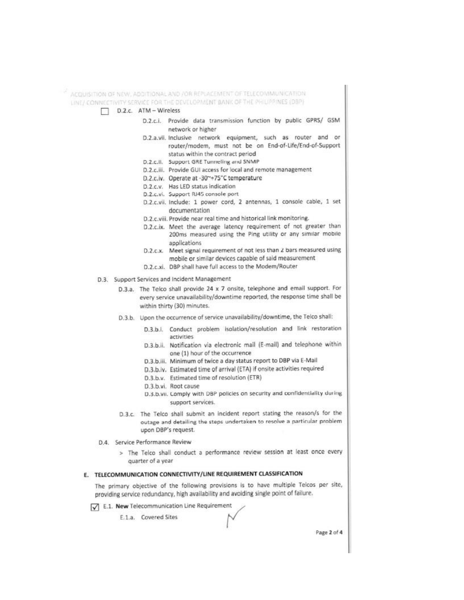ACQUISITION OF NEW, ADDITIONAL AND / OR REPLACEMENT OF TELECOMMUNICATION LINE/ CONNECTIVITY SERVICE FOR THE DEVELOPMENT BANK OF THE PHILIPPINES (DBP)

- D.2.c. ATM Wireless
	- D.2.c.i. Provide data transmission function by public GPRS/ GSM network or higher
	- D.2.a.vii. Inclusive network equipment, such as router and or router/modem, must not be on End-of-Life/End-of-Support status within the contract period
	- D.2.c.ll. Support GRE Tunneling and SNMP
	- D.2.c.iii. Provide GUI access for local and remote management
	- D.2.c.iv. Operate at -30~+75°C temperature
	- D.2.c.v. Has LED status indication
	- D.2.c.vi. Support RJ45 console port
	- D.2.c.vii. Include: 1 power cord, 2 antennas, 1 console cable, 1 set documentation
	- D.2.c.viii. Provide near real time and historical link monitoring.
	- D.2.c.ix. Meet the average latency requirement of not greater than 200ms measured using the Ping utility or any similar mobile applications
	- D.2.c.x. Meet signal requirement of not less than 2 bars measured using mobile or similar devices capable of said measurement
	- D.2.c.xi. DBP shall have full access to the Modem/Router
- D.3. Support Services and Incident Management
	- D.3.a. The Telco shall provide 24 x 7 onsite, telephone and email support. For every service unavailability/downtime reported, the response time shall be within thirty (30) minutes.
	- D.3.b. Upon the occurrence of service unavailability/downtime, the Telco shall:
		- D.3.b.i. Conduct problem isolation/resolution and link restoration activities
		- D.3.b.ii. Notification via electronic mail (E-mail) and telephone within one (1) hour of the occurrence
		- D.3.b.iii. Minimum of twice a day status report to DBP via E-Mail
		- D.3.b.iv. Estimated time of arrival (ETA) if onsite activities required
		- D.3.b.v. Estimated time of resolution (ETR)
		- D.3.b.vi. Root cause
		- D.3.b.vii. Comply with DBP policies on security and confidentiality during support services.
	- D.3.c. The Telco shall submit an incident report stating the reason/s for the outage and detailing the steps undertaken to resolve a particular problem upon DBP's request.
- D.4. Service Performance Review
	- > The Telco shall conduct a performance review session at least once every quarter of a year

## E. TELECOMMUNICATION CONNECTIVITY/LINE REQUIREMENT CLASSIFICATION

The primary objective of the following provisions is to have multiple Telcos per site, providing service redundancy, high availability and avoiding single point of failure.

E.1. New Telecommunication Line Requirement

E.1.a. Covered Sites

Page 2 of 4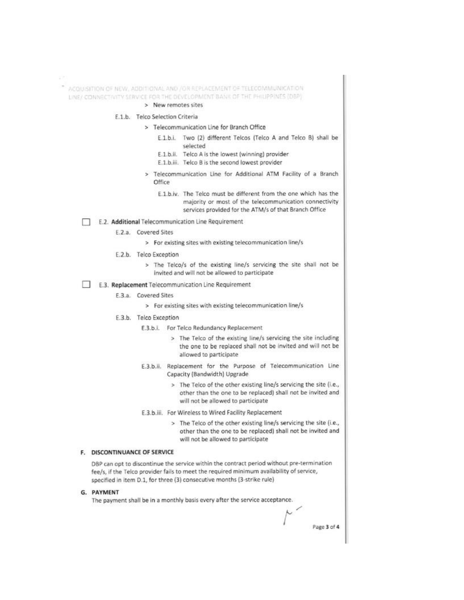ACQUISITION OF NEW, ADDITIONAL AND /OR REPLACEMENT OF TELECOMMUNICATION LINE/ CONNECTIVITY SERVICE FOR THE DEVELOPMENT BANK OF THE PHILIPPINES (DBP)

> New remotes sites

## E.1.b. Telco Selection Criteria

## > Telecommunication Line for Branch Office

- E.1.b.i. Two (2) different Telcos (Telco A and Telco B) shall be selected
- E.1.b.ii. Telco A is the lowest (winning) provider
- E.1.b.iii. Telco B is the second lowest provider
- > Telecommunication Line for Additional ATM Facility of a Branch Office
	- E.1.b.iv. The Telco must be different from the one which has the majority or most of the telecommunication connectivity services provided for the ATM/s of that Branch Office

## E.2. Additional Telecommunication Line Requirement

- E.2.a. Covered Sites
	- > For existing sites with existing telecommunication line/s
- E.2.b. Telco Exception
	- > The Telco/s of the existing line/s servicing the site shall not be invited and will not be allowed to participate
- E.3. Replacement Telecommunication Line Requirement
	- E.3.a. Covered Sites
		- > For existing sites with existing telecommunication line/s
	- E.3.b. Telco Exception
		- E.3.b.i. For Telco Redundancy Replacement
			- > The Telco of the existing line/s servicing the site including the one to be replaced shall not be invited and will not be allowed to participate
		- E.3.b.ii. Replacement for the Purpose of Telecommunication Line Capacity (Bandwidth) Upgrade
			- > The Telco of the other existing line/s servicing the site (i.e., other than the one to be replaced) shall not be invited and will not be allowed to participate
		- E.3.b.iii. For Wireless to Wired Facility Replacement
			- > The Telco of the other existing line/s servicing the site (i.e., other than the one to be replaced) shall not be invited and will not be allowed to participate

Page 3 of 4

## F. DISCONTINUANCE OF SERVICE

DBP can opt to discontinue the service within the contract period without pre-termination fee/s, if the Telco provider fails to meet the required minimum availability of service, specified in item D.1, for three (3) consecutive months (3-strike rule)

## G. PAYMENT

The payment shall be in a monthly basis every after the service acceptance.